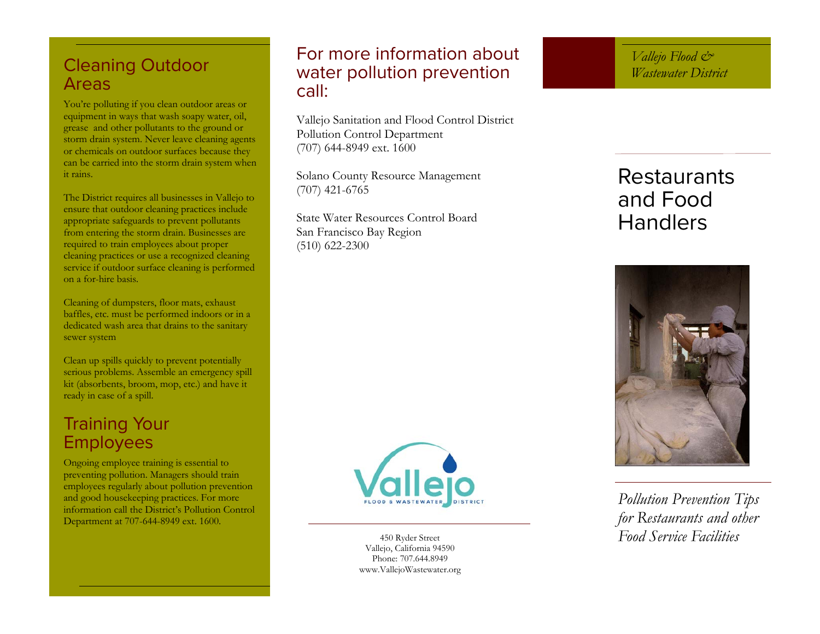# Cleaning Outdoor Areas

You're polluting if you clean outdoor areas or equipment in ways that wash soapy water, oil, grease and other pollutants to the ground or storm drain system. Never leave cleaning agents or chemicals on outdoor surfaces because they can be carried into the storm drain system when it rains.

The District requires all businesses in Vallejo to ensure that outdoor cleaning practices include appropriate safeguards to prevent pollutants from entering the storm drain. Businesses are required to train employees about proper cleaning practices or use a recognized cleaning service if outdoor surface cleaning is performed on a for-hire basis.

Cleaning of dumpsters, floor mats, exhaust baffles, etc. must be performed indoors or in a dedicated wash area that drains to the sanitary sewer system

Clean up spills quickly to prevent potentially serious problems. Assemble an emergency spill kit (absorbents, broom, mop, etc.) and have it ready in case of a spill.

### Training Your Employees

Ongoing employee training is essential to preventing pollution. Managers should train employees regularly about pollution prevention and good housekeeping practices. For more information call the District's Pollution Control Department at 707-644-8949 ext. 1600.

### For more information about water pollution prevention call:

Vallejo Sanitation and Flood Control District Pollution Control Department (707) 644-8949 ext. 1600

Solano County Resource Management (707) 421-6765

State Water Resources Control Board San Francisco Bay Region (510) 622-2300



# Restaurants and Food Handlers





Vallejo, California 94590 Phone: 707.644.8949 www.VallejoWastewater.org

*Pollution Prevention Tips for Restaurants and other*  450 Ryder Street *Food Service Facilities*